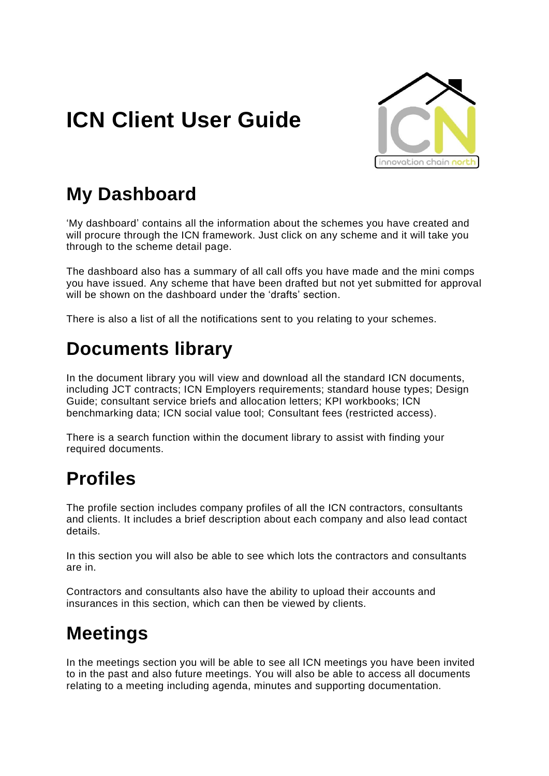# **ICN Client User Guide**



## **My Dashboard**

'My dashboard' contains all the information about the schemes you have created and will procure through the ICN framework. Just click on any scheme and it will take you through to the scheme detail page.

The dashboard also has a summary of all call offs you have made and the mini comps you have issued. Any scheme that have been drafted but not yet submitted for approval will be shown on the dashboard under the 'drafts' section.

There is also a list of all the notifications sent to you relating to your schemes.

#### **Documents library**

In the document library you will view and download all the standard ICN documents, including JCT contracts; ICN Employers requirements; standard house types; Design Guide; consultant service briefs and allocation letters; KPI workbooks; ICN benchmarking data; ICN social value tool; Consultant fees (restricted access).

There is a search function within the document library to assist with finding your required documents.

### **Profiles**

The profile section includes company profiles of all the ICN contractors, consultants and clients. It includes a brief description about each company and also lead contact details.

In this section you will also be able to see which lots the contractors and consultants are in.

Contractors and consultants also have the ability to upload their accounts and insurances in this section, which can then be viewed by clients.

## **Meetings**

In the meetings section you will be able to see all ICN meetings you have been invited to in the past and also future meetings. You will also be able to access all documents relating to a meeting including agenda, minutes and supporting documentation.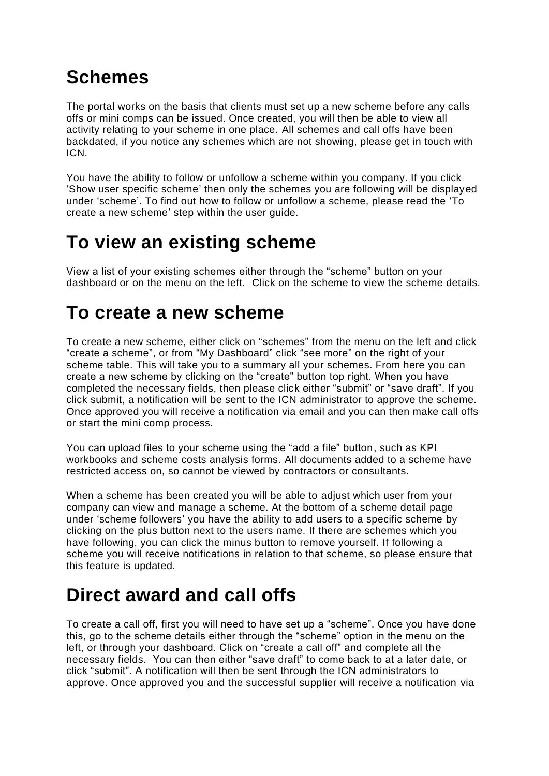## **Schemes**

The portal works on the basis that clients must set up a new scheme before any calls offs or mini comps can be issued. Once created, you will then be able to view all activity relating to your scheme in one place. All schemes and call offs have been backdated, if you notice any schemes which are not showing, please get in touch with ICN.

You have the ability to follow or unfollow a scheme within you company. If you click 'Show user specific scheme' then only the schemes you are following will be displayed under 'scheme'. To find out how to follow or unfollow a scheme, please read the 'To create a new scheme' step within the user guide.

#### **To view an existing scheme**

View a list of your existing schemes either through the "scheme" button on your dashboard or on the menu on the left. Click on the scheme to view the scheme details.

#### **To create a new scheme**

To create a new scheme, either click on "schemes" from the menu on the left and click "create a scheme", or from "My Dashboard" click "see more" on the right of your scheme table. This will take you to a summary all your schemes. From here you can create a new scheme by clicking on the "create" button top right. When you have completed the necessary fields, then please click either "submit" or "save draft". If you click submit, a notification will be sent to the ICN administrator to approve the scheme. Once approved you will receive a notification via email and you can then make call offs or start the mini comp process.

You can upload files to your scheme using the "add a file" button, such as KPI workbooks and scheme costs analysis forms. All documents added to a scheme have restricted access on, so cannot be viewed by contractors or consultants.

When a scheme has been created you will be able to adjust which user from your company can view and manage a scheme. At the bottom of a scheme detail page under 'scheme followers' you have the ability to add users to a specific scheme by clicking on the plus button next to the users name. If there are schemes which you have following, you can click the minus button to remove yourself. If following a scheme you will receive notifications in relation to that scheme, so please ensure that this feature is updated.

## **Direct award and call offs**

To create a call off, first you will need to have set up a "scheme". Once you have done this, go to the scheme details either through the "scheme" option in the menu on the left, or through your dashboard. Click on "create a call off" and complete all the necessary fields. You can then either "save draft" to come back to at a later date, or click "submit". A notification will then be sent through the ICN administrators to approve. Once approved you and the successful supplier will receive a notification via